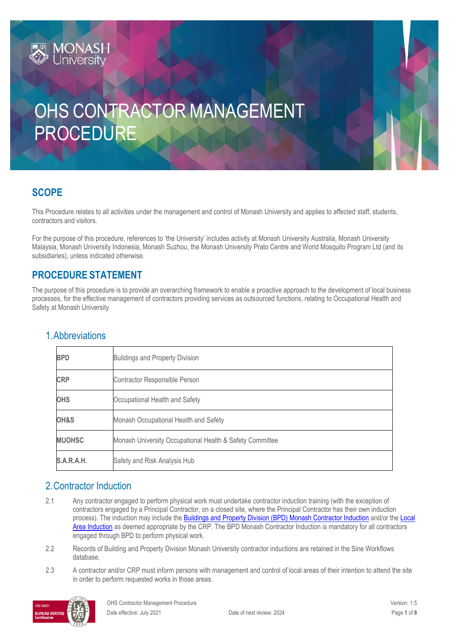

# **SCOPE**

This Procedure relates to all activities under the management and control of Monash University and applies to affected staff, students, contractors and visitors.

For the purpose of this procedure, references to 'the University' includes activity at Monash University Australia, Monash University Malaysia, Monash University Indonesia, Monash Suzhou, the Monash University Prato Centre and World Mosquito Program Ltd (and its subsidiaries), unless indicated otherwise.

## **PROCEDURE STATEMENT**

The purpose of this procedure is to provide an overarching framework to enable a proactive approach to the development of local business processes, for the effective management of contractors providing services as outsourced functions, relating to Occupational Health and Safety at Monash University.

| <b>BPD</b>    | <b>Buildings and Property Division</b>                   |  |
|---------------|----------------------------------------------------------|--|
| <b>CRP</b>    | Contractor Responsible Person                            |  |
| <b>OHS</b>    | Occupational Health and Safety                           |  |
| OH&S          | Monash Occupational Health and Safety                    |  |
| <b>MUOHSC</b> | Monash University Occupational Health & Safety Committee |  |
| S.A.R.A.H.    | Safety and Risk Analysis Hub                             |  |

## 1.Abbreviations

## 2.Contractor Induction

- 2.1 Any contractor engaged to perform physical work must undertake contractor induction training (with the exception of contractors engaged by a Principal Contractor, on a closed site, where the Principal Contractor has their own induction process). The induction may include the [Buildings and Property Division \(BPD\) Monash Contractor Induction](https://www.monash.edu/contractors/contractor-induction) and/or the [Local](https://www.monash.edu/ohs/induction-training/local-area-induction)  [Area Induction](https://www.monash.edu/ohs/induction-training/local-area-induction) as deemed appropriate by the CRP. The BPD Monash Contractor Induction is mandatory for all contractors engaged through BPD to perform physical work.
- 2.2 Records of Building and Property Division Monash University contractor inductions are retained in the Sine Workflows database.
- 2.3 A contractor and/or CRP must inform persons with management and control of local areas of their intention to attend the site in order to perform requested works in those areas.

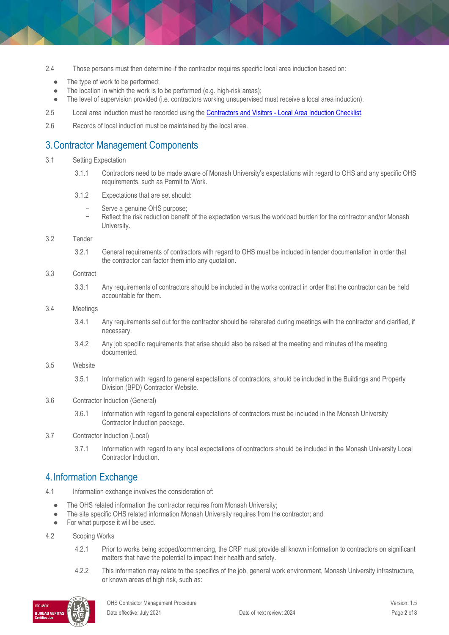- 2.4 Those persons must then determine if the contractor requires specific local area induction based on:
	- The type of work to be performed;
	- The location in which the work is to be performed (e.g. high-risk areas);
	- The level of supervision provided (i.e. contractors working unsupervised must receive a local area induction).
- 2.5 Local area induction must be recorded using the Contractors and Visitors [Local Area Induction Checklist.](https://www.monash.edu/__data/assets/word_doc/0011/122897/induct-contractor-visitor.docx)
- 2.6 Records of local induction must be maintained by the local area.

# 3.Contractor Management Components

#### 3.1 Setting Expectation

- 3.1.1 Contractors need to be made aware of Monash University's expectations with regard to OHS and any specific OHS requirements, such as Permit to Work.
- 3.1.2 Expectations that are set should:
	- Serve a genuine OHS purpose;
	- Reflect the risk reduction benefit of the expectation versus the workload burden for the contractor and/or Monash University.

#### 3.2 Tender

3.2.1 General requirements of contractors with regard to OHS must be included in tender documentation in order that the contractor can factor them into any quotation.

#### 3.3 Contract

3.3.1 Any requirements of contractors should be included in the works contract in order that the contractor can be held accountable for them.

#### 3.4 Meetings

- 3.4.1 Any requirements set out for the contractor should be reiterated during meetings with the contractor and clarified, if necessary.
- 3.4.2 Any job specific requirements that arise should also be raised at the meeting and minutes of the meeting documented.

#### 3.5 Website

- 3.5.1 Information with regard to general expectations of contractors, should be included in the Buildings and Property Division (BPD) Contractor Website.
- 3.6 Contractor Induction (General)
	- 3.6.1 Information with regard to general expectations of contractors must be included in the Monash University Contractor Induction package.
- 3.7 Contractor Induction (Local)
	- 3.7.1 Information with regard to any local expectations of contractors should be included in the Monash University Local Contractor Induction.

## 4.Information Exchange

- 4.1 Information exchange involves the consideration of:
	- The OHS related information the contractor requires from Monash University;
	- The site specific OHS related information Monash University requires from the contractor; and
	- For what purpose it will be used.

#### 4.2 Scoping Works

- 4.2.1 Prior to works being scoped/commencing, the CRP must provide all known information to contractors on significant matters that have the potential to impact their health and safety.
- 4.2.2 This information may relate to the specifics of the job, general work environment, Monash University infrastructure, or known areas of high risk, such as:

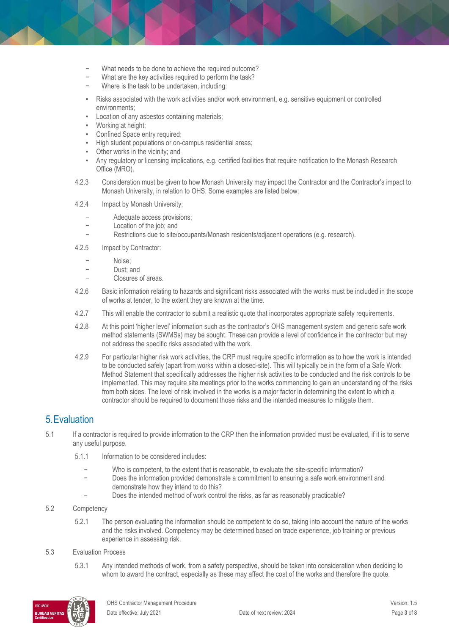- − What needs to be done to achieve the required outcome?
- What are the key activities required to perform the task?
- Where is the task to be undertaken, including:
- Risks associated with the work activities and/or work environment, e.g. sensitive equipment or controlled environments;
- Location of any asbestos containing materials;
- Working at height;
- Confined Space entry required;
- High student populations or on-campus residential areas;
- Other works in the vicinity; and
- Any regulatory or licensing implications, e.g. certified facilities that require notification to the Monash Research Office (MRO).
- 4.2.3 Consideration must be given to how Monash University may impact the Contractor and the Contractor's impact to Monash University, in relation to OHS. Some examples are listed below;
- 4.2.4 Impact by Monash University;
	- − Adequate access provisions;
	- Location of the job; and
	- − Restrictions due to site/occupants/Monash residents/adjacent operations (e.g. research).
- 4.2.5 Impact by Contractor:
	- − Noise;<br>− Noise;
	- − Dust; and
	- − Closures of areas.
- 4.2.6 Basic information relating to hazards and significant risks associated with the works must be included in the scope of works at tender, to the extent they are known at the time.
- 4.2.7 This will enable the contractor to submit a realistic quote that incorporates appropriate safety requirements.
- 4.2.8 At this point 'higher level' information such as the contractor's OHS management system and generic safe work method statements (SWMSs) may be sought. These can provide a level of confidence in the contractor but may not address the specific risks associated with the work.
- 4.2.9 For particular higher risk work activities, the CRP must require specific information as to how the work is intended to be conducted safely (apart from works within a closed-site). This will typically be in the form of a Safe Work Method Statement that specifically addresses the higher risk activities to be conducted and the risk controls to be implemented. This may require site meetings prior to the works commencing to gain an understanding of the risks from both sides. The level of risk involved in the works is a major factor in determining the extent to which a contractor should be required to document those risks and the intended measures to mitigate them.

# 5.Evaluation

- 5.1 If a contractor is required to provide information to the CRP then the information provided must be evaluated, if it is to serve any useful purpose.
	- 5.1.1 Information to be considered includes:
		- Who is competent, to the extent that is reasonable, to evaluate the site-specific information?
		- Does the information provided demonstrate a commitment to ensuring a safe work environment and demonstrate how they intend to do this?
		- Does the intended method of work control the risks, as far as reasonably practicable?
- 5.2 Competency
	- 5.2.1 The person evaluating the information should be competent to do so, taking into account the nature of the works and the risks involved. Competency may be determined based on trade experience, job training or previous experience in assessing risk.

#### 5.3 Evaluation Process

5.3.1 Any intended methods of work, from a safety perspective, should be taken into consideration when deciding to whom to award the contract, especially as these may affect the cost of the works and therefore the quote.

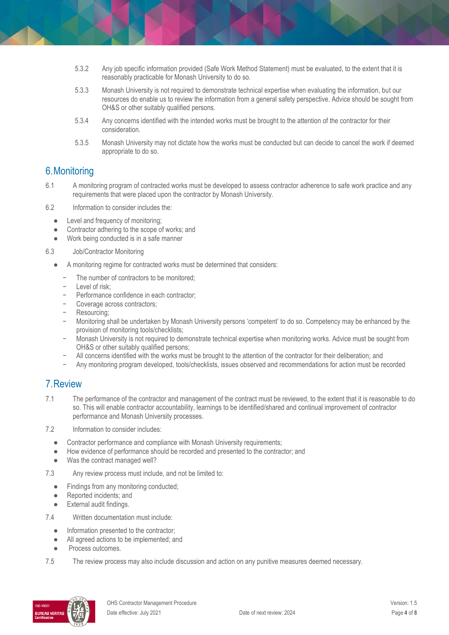- 5.3.2 Any job specific information provided (Safe Work Method Statement) must be evaluated, to the extent that it is reasonably practicable for Monash University to do so.
- 5.3.3 Monash University is not required to demonstrate technical expertise when evaluating the information, but our resources do enable us to review the information from a general safety perspective. Advice should be sought from OH&S or other suitably qualified persons.
- 5.3.4 Any concerns identified with the intended works must be brought to the attention of the contractor for their consideration.
- 5.3.5 Monash University may not dictate how the works must be conducted but can decide to cancel the work if deemed appropriate to do so.

### 6.Monitoring

- 6.1 A monitoring program of contracted works must be developed to assess contractor adherence to safe work practice and any requirements that were placed upon the contractor by Monash University.
- 6.2 Information to consider includes the:
	- Level and frequency of monitoring;
	- Contractor adhering to the scope of works; and
	- Work being conducted is in a safe manner
- 6.3 Job/Contractor Monitoring
	- A monitoring regime for contracted works must be determined that considers:
		- The number of contractors to be monitored:
		- − Level of risk;
		- − Performance confidence in each contractor;
		- − Coverage across contractors;
		- − Resourcing;
		- − Monitoring shall be undertaken by Monash University persons 'competent' to do so. Competency may be enhanced by the provision of monitoring tools/checklists;
		- − Monash University is not required to demonstrate technical expertise when monitoring works. Advice must be sought from OH&S or other suitably qualified persons;
		- − All concerns identified with the works must be brought to the attention of the contractor for their deliberation; and
		- − Any monitoring program developed, tools/checklists, issues observed and recommendations for action must be recorded

### 7.Review

- 7.1 The performance of the contractor and management of the contract must be reviewed, to the extent that it is reasonable to do so. This will enable contractor accountability, learnings to be identified/shared and continual improvement of contractor performance and Monash University processes.
- 7.2 Information to consider includes:
	- Contractor performance and compliance with Monash University requirements;
	- How evidence of performance should be recorded and presented to the contractor; and
	- Was the contract managed well?
- 7.3 Any review process must include, and not be limited to:
	- Findings from any monitoring conducted;
	- Reported incidents; and
	- External audit findings.
- 7.4 Written documentation must include:
	- Information presented to the contractor;
	- All agreed actions to be implemented; and
	- Process outcomes.
- 7.5 The review process may also include discussion and action on any punitive measures deemed necessary.

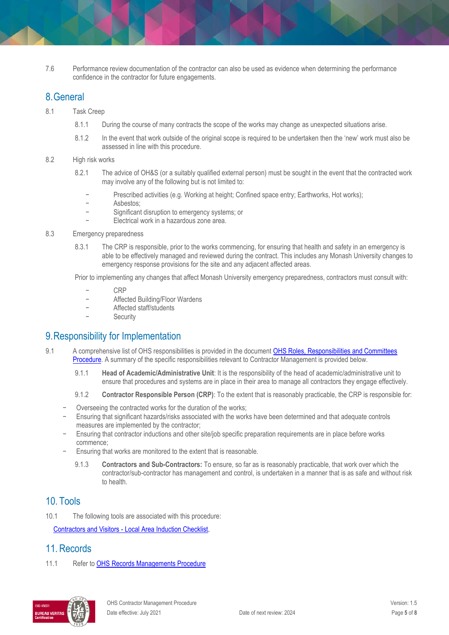7.6 Performance review documentation of the contractor can also be used as evidence when determining the performance confidence in the contractor for future engagements.

### 8.General

- 8.1 Task Creep
	- 8.1.1 During the course of many contracts the scope of the works may change as unexpected situations arise.
	- 8.1.2 In the event that work outside of the original scope is required to be undertaken then the 'new' work must also be assessed in line with this procedure.

#### 8.2 High risk works

- 8.2.1 The advice of OH&S (or a suitably qualified external person) must be sought in the event that the contracted work may involve any of the following but is not limited to:
	- Prescribed activities (e.g. Working at height; Confined space entry; Earthworks, Hot works);
	- − Asbestos;
	- Significant disruption to emergency systems; or
	- − Electrical work in a hazardous zone area.

#### 8.3 Emergency preparedness

8.3.1 The CRP is responsible, prior to the works commencing, for ensuring that health and safety in an emergency is able to be effectively managed and reviewed during the contract. This includes any Monash University changes to emergency response provisions for the site and any adjacent affected areas.

Prior to implementing any changes that affect Monash University emergency preparedness, contractors must consult with:

- − CRP
- − Affected Building/Floor Wardens
- − Affected staff/students
- **Security**

## 9.Responsibility for Implementation

- 9.1 A comprehensive list of OHS responsibilities is provided in the document OHS Roles, [Responsibilities](https://publicpolicydms.monash.edu/Monash/documents/1935644) and Committees [Procedure.](https://www.monash.edu/__data/assets/pdf_file/0005/129614/OHS-roles-responsibilities-and-committees-procedure.pdf) A summary of the specific responsibilities relevant to Contractor Management is provided below.
	- 9.1.1 **Head of Academic/Administrative Unit**: It is the responsibility of the head of academic/administrative unit to ensure that procedures and systems are in place in their area to manage all contractors they engage effectively.
	- 9.1.2 **Contractor Responsible Person (CRP)**: To the extent that is reasonably practicable, the CRP is responsible for:
	- Overseeing the contracted works for the duration of the works;
	- Ensuring that significant hazards/risks associated with the works have been determined and that adequate controls measures are implemented by the contractor;
	- Ensuring that contractor inductions and other site/job specific preparation requirements are in place before works commence;
	- Ensuring that works are monitored to the extent that is reasonable.
		- 9.1.3 **Contractors and Sub-Contractors:** To ensure, so far as is reasonably practicable, that work over which the contractor/sub-contractor has management and control, is undertaken in a manner that is as safe and without risk to health.

## 10. Tools

10.1 The following tools are associated with this procedure:

Contractors and Visitors - [Local Area Induction Checklist.](https://www.monash.edu/__data/assets/word_doc/0011/122897/induct-contractor-visitor.docx)

# 11. Records

11.1 Refer to [OHS Records Managements Procedure](https://publicpolicydms.monash.edu/Monash/documents/1935642)

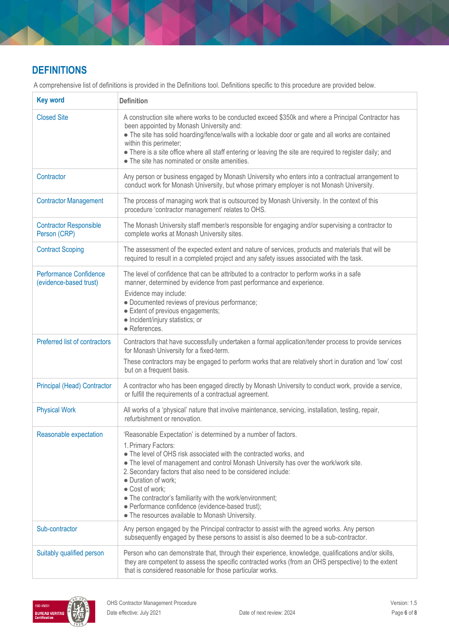# **DEFINITIONS**

A comprehensive list of definitions is provided in the Definitions tool. Definitions specific to this procedure are provided below.

| <b>Key word</b>                                  | <b>Definition</b>                                                                                                                                                                                                                                                                                                                                                                                                                                                                                                                 |
|--------------------------------------------------|-----------------------------------------------------------------------------------------------------------------------------------------------------------------------------------------------------------------------------------------------------------------------------------------------------------------------------------------------------------------------------------------------------------------------------------------------------------------------------------------------------------------------------------|
| <b>Closed Site</b>                               | A construction site where works to be conducted exceed \$350k and where a Principal Contractor has<br>been appointed by Monash University and:<br>• The site has solid hoarding/fence/walls with a lockable door or gate and all works are contained<br>within this perimeter;<br>• There is a site office where all staff entering or leaving the site are required to register daily; and<br>• The site has nominated or onsite amenities.                                                                                      |
| Contractor                                       | Any person or business engaged by Monash University who enters into a contractual arrangement to<br>conduct work for Monash University, but whose primary employer is not Monash University.                                                                                                                                                                                                                                                                                                                                      |
| <b>Contractor Management</b>                     | The process of managing work that is outsourced by Monash University. In the context of this<br>procedure 'contractor management' relates to OHS.                                                                                                                                                                                                                                                                                                                                                                                 |
| <b>Contractor Responsible</b><br>Person (CRP)    | The Monash University staff member/s responsible for engaging and/or supervising a contractor to<br>complete works at Monash University sites.                                                                                                                                                                                                                                                                                                                                                                                    |
| <b>Contract Scoping</b>                          | The assessment of the expected extent and nature of services, products and materials that will be<br>required to result in a completed project and any safety issues associated with the task.                                                                                                                                                                                                                                                                                                                                    |
| Performance Confidence<br>(evidence-based trust) | The level of confidence that can be attributed to a contractor to perform works in a safe<br>manner, determined by evidence from past performance and experience.<br>Evidence may include:<br>· Documented reviews of previous performance;<br>• Extent of previous engagements;<br>· Incident/injury statistics; or<br>· References.                                                                                                                                                                                             |
| Preferred list of contractors                    | Contractors that have successfully undertaken a formal application/tender process to provide services<br>for Monash University for a fixed-term.<br>These contractors may be engaged to perform works that are relatively short in duration and 'low' cost<br>but on a frequent basis.                                                                                                                                                                                                                                            |
| <b>Principal (Head) Contractor</b>               | A contractor who has been engaged directly by Monash University to conduct work, provide a service,<br>or fulfill the requirements of a contractual agreement.                                                                                                                                                                                                                                                                                                                                                                    |
| <b>Physical Work</b>                             | All works of a 'physical' nature that involve maintenance, servicing, installation, testing, repair,<br>refurbishment or renovation.                                                                                                                                                                                                                                                                                                                                                                                              |
| Reasonable expectation                           | 'Reasonable Expectation' is determined by a number of factors.<br>1. Primary Factors:<br>• The level of OHS risk associated with the contracted works, and<br>• The level of management and control Monash University has over the work/work site.<br>2. Secondary factors that also need to be considered include:<br>· Duration of work;<br>· Cost of work;<br>• The contractor's familiarity with the work/environment;<br>· Performance confidence (evidence-based trust);<br>• The resources available to Monash University. |
| Sub-contractor                                   | Any person engaged by the Principal contractor to assist with the agreed works. Any person<br>subsequently engaged by these persons to assist is also deemed to be a sub-contractor.                                                                                                                                                                                                                                                                                                                                              |
| Suitably qualified person                        | Person who can demonstrate that, through their experience, knowledge, qualifications and/or skills,<br>they are competent to assess the specific contracted works (from an OHS perspective) to the extent<br>that is considered reasonable for those particular works.                                                                                                                                                                                                                                                            |

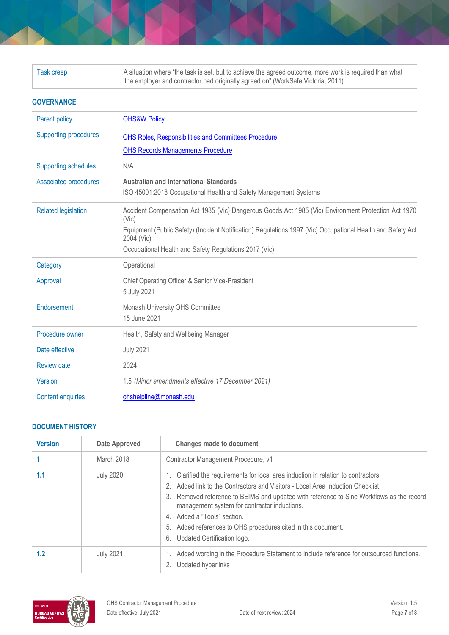| Task creep | A situation where "the task is set, but to achieve the agreed outcome, more work is required than what |
|------------|--------------------------------------------------------------------------------------------------------|
|            | the employer and contractor had originally agreed on" (WorkSafe Victoria, 2011).                       |

#### **GOVERNANCE**

| <b>Parent policy</b>         | <b>OHS&amp;W Policy</b>                                                                                                   |
|------------------------------|---------------------------------------------------------------------------------------------------------------------------|
| <b>Supporting procedures</b> | <b>OHS Roles, Responsibilities and Committees Procedure</b>                                                               |
|                              | <b>OHS Records Managements Procedure</b>                                                                                  |
| <b>Supporting schedules</b>  | N/A                                                                                                                       |
| <b>Associated procedures</b> | <b>Australian and International Standards</b>                                                                             |
|                              | ISO 45001:2018 Occupational Health and Safety Management Systems                                                          |
| <b>Related legislation</b>   | Accident Compensation Act 1985 (Vic) Dangerous Goods Act 1985 (Vic) Environment Protection Act 1970<br>(Vic)              |
|                              | Equipment (Public Safety) (Incident Notification) Regulations 1997 (Vic) Occupational Health and Safety Act<br>2004 (Vic) |
|                              | Occupational Health and Safety Regulations 2017 (Vic)                                                                     |
| Category                     | Operational                                                                                                               |
| Approval                     | Chief Operating Officer & Senior Vice-President                                                                           |
|                              | 5 July 2021                                                                                                               |
| Endorsement                  | Monash University OHS Committee                                                                                           |
|                              | 15 June 2021                                                                                                              |
| Procedure owner              | Health, Safety and Wellbeing Manager                                                                                      |
| Date effective               | <b>July 2021</b>                                                                                                          |
| <b>Review date</b>           | 2024                                                                                                                      |
| <b>Version</b>               | 1.5 (Minor amendments effective 17 December 2021)                                                                         |
| <b>Content enquiries</b>     | ohshelpline@monash.edu                                                                                                    |

### **DOCUMENT HISTORY**

| <b>Version</b> | <b>Date Approved</b> | <b>Changes made to document</b>                                                                                                                                                                                                                                                                                                                                                                                                                        |
|----------------|----------------------|--------------------------------------------------------------------------------------------------------------------------------------------------------------------------------------------------------------------------------------------------------------------------------------------------------------------------------------------------------------------------------------------------------------------------------------------------------|
|                | March 2018           | Contractor Management Procedure, v1                                                                                                                                                                                                                                                                                                                                                                                                                    |
| 1.1            | <b>July 2020</b>     | 1. Clarified the requirements for local area induction in relation to contractors.<br>2. Added link to the Contractors and Visitors - Local Area Induction Checklist.<br>3. Removed reference to BEIMS and updated with reference to Sine Workflows as the record<br>management system for contractor inductions.<br>4. Added a "Tools" section.<br>5. Added references to OHS procedures cited in this document.<br>Updated Certification logo.<br>6. |
| 1.2            | <b>July 2021</b>     | Added wording in the Procedure Statement to include reference for outsourced functions.<br>Updated hyperlinks                                                                                                                                                                                                                                                                                                                                          |